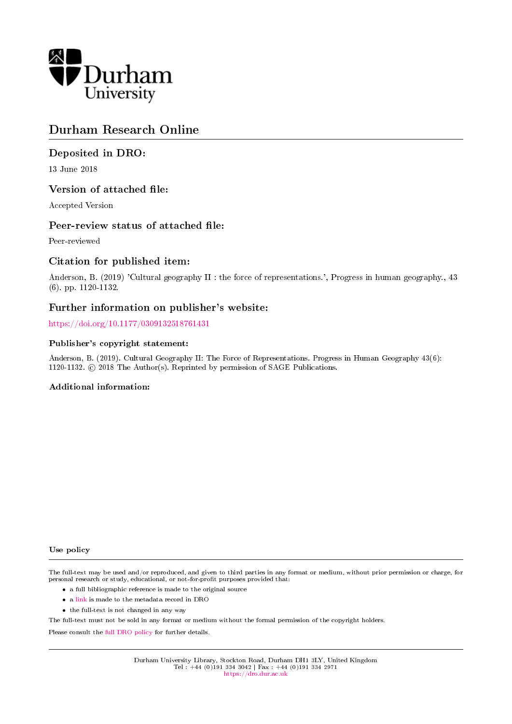

# Durham Research Online

## Deposited in DRO:

13 June 2018

#### Version of attached file:

Accepted Version

#### Peer-review status of attached file:

Peer-reviewed

#### Citation for published item:

Anderson, B. (2019) 'Cultural geography II : the force of representations.', Progress in human geography., 43 (6). pp. 1120-1132.

#### Further information on publisher's website:

<https://doi.org/10.1177/0309132518761431>

#### Publisher's copyright statement:

Anderson, B. (2019). Cultural Geography II: The Force of Representations. Progress in Human Geography 43(6): 1120-1132. © 2018 The Author(s). Reprinted by permission of SAGE Publications.

#### Additional information:

Use policy

The full-text may be used and/or reproduced, and given to third parties in any format or medium, without prior permission or charge, for personal research or study, educational, or not-for-profit purposes provided that:

- a full bibliographic reference is made to the original source
- a [link](http://dro.dur.ac.uk/25181/) is made to the metadata record in DRO
- the full-text is not changed in any way

The full-text must not be sold in any format or medium without the formal permission of the copyright holders.

Please consult the [full DRO policy](https://dro.dur.ac.uk/policies/usepolicy.pdf) for further details.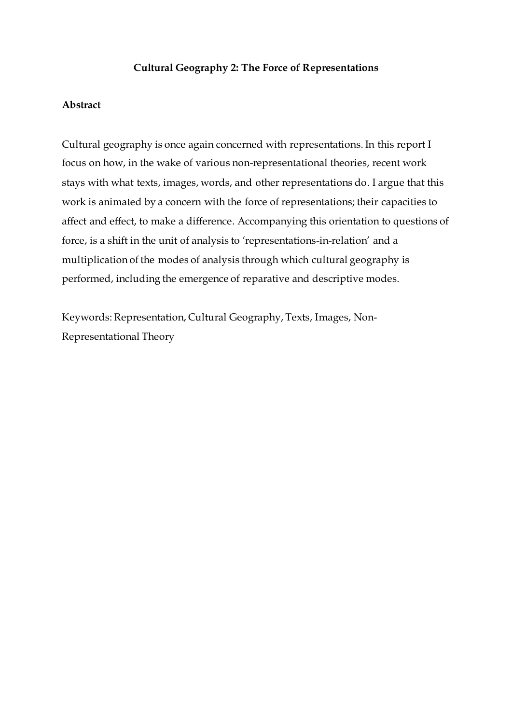## **Cultural Geography 2: The Force of Representations**

#### **Abstract**

Cultural geography is once again concerned with representations. In this report I focus on how, in the wake of various non-representational theories, recent work stays with what texts, images, words, and other representations do. I argue that this work is animated by a concern with the force of representations; their capacities to affect and effect, to make a difference. Accompanying this orientation to questions of force, is a shift in the unit of analysis to 'representations-in-relation' and a multiplication of the modes of analysis through which cultural geography is performed, including the emergence of reparative and descriptive modes.

Keywords: Representation, Cultural Geography, Texts, Images, Non-Representational Theory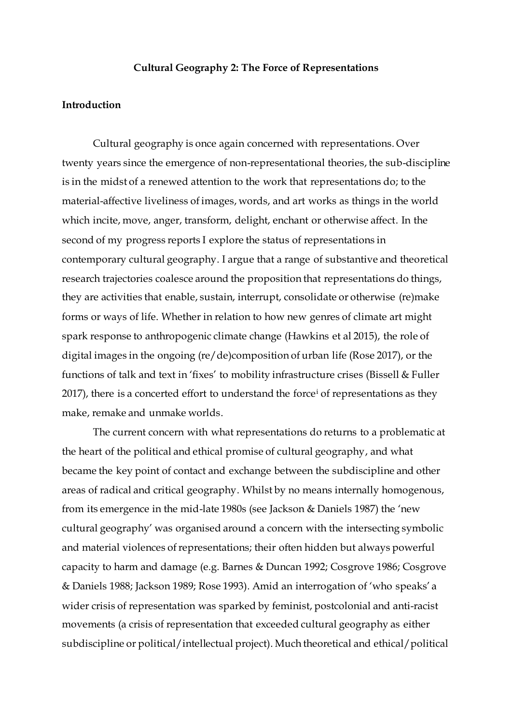#### **Cultural Geography 2: The Force of Representations**

## **Introduction**

Cultural geography is once again concerned with representations. Over twenty years since the emergence of non-representational theories, the sub-discipline is in the midst of a renewed attention to the work that representations do; to the material-affective liveliness of images, words, and art works as things in the world which incite, move, anger, transform, delight, enchant or otherwise affect. In the second of my progress reports I explore the status of representations in contemporary cultural geography. I argue that a range of substantive and theoretical research trajectories coalesce around the proposition that representations do things, they are activities that enable, sustain, interrupt, consolidate or otherwise (re)make forms or ways of life. Whether in relation to how new genres of climate art might spark response to anthropogenic climate change (Hawkins et al 2015), the role of digital images in the ongoing (re/de)composition of urban life (Rose 2017), or the functions of talk and text in 'fixes' to mobility infrastructure crises (Bissell & Fuller 2017), there is a concerted effort to understand the force<sup>i</sup> of representations as they make, remake and unmake worlds.

The current concern with what representations do returns to a problematic at the heart of the political and ethical promise of cultural geography, and what became the key point of contact and exchange between the subdiscipline and other areas of radical and critical geography. Whilst by no means internally homogenous, from its emergence in the mid-late 1980s (see Jackson & Daniels 1987) the 'new cultural geography' was organised around a concern with the intersecting symbolic and material violences of representations; their often hidden but always powerful capacity to harm and damage (e.g. Barnes & Duncan 1992; Cosgrove 1986; Cosgrove & Daniels 1988; Jackson 1989; Rose 1993). Amid an interrogation of 'who speaks' a wider crisis of representation was sparked by feminist, postcolonial and anti-racist movements (a crisis of representation that exceeded cultural geography as either subdiscipline or political/intellectual project). Much theoretical and ethical/political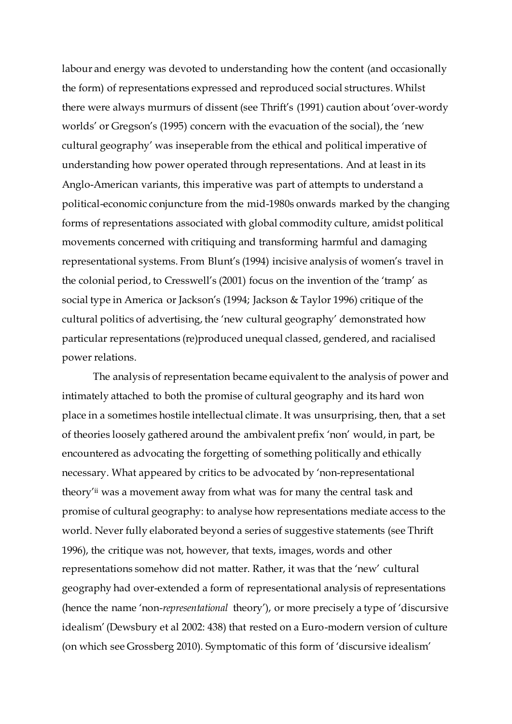labour and energy was devoted to understanding how the content (and occasionally the form) of representations expressed and reproduced social structures. Whilst there were always murmurs of dissent (see Thrift's (1991) caution about 'over-wordy worlds' or Gregson's (1995) concern with the evacuation of the social), the 'new cultural geography' was inseperable from the ethical and political imperative of understanding how power operated through representations. And at least in its Anglo-American variants, this imperative was part of attempts to understand a political-economic conjuncture from the mid-1980s onwards marked by the changing forms of representations associated with global commodity culture, amidst political movements concerned with critiquing and transforming harmful and damaging representational systems. From Blunt's (1994) incisive analysis of women's travel in the colonial period, to Cresswell's (2001) focus on the invention of the 'tramp' as social type in America or Jackson's (1994; Jackson & Taylor 1996) critique of the cultural politics of advertising, the 'new cultural geography' demonstrated how particular representations (re)produced unequal classed, gendered, and racialised power relations.

The analysis of representation became equivalent to the analysis of power and intimately attached to both the promise of cultural geography and its hard won place in a sometimes hostile intellectual climate. It was unsurprising, then, that a set of theories loosely gathered around the ambivalent prefix 'non' would, in part, be encountered as advocating the forgetting of something politically and ethically necessary. What appeared by critics to be advocated by 'non-representational theory'ii was a movement away from what was for many the central task and promise of cultural geography: to analyse how representations mediate access to the world. Never fully elaborated beyond a series of suggestive statements (see Thrift 1996), the critique was not, however, that texts, images, words and other representations somehow did not matter. Rather, it was that the 'new' cultural geography had over-extended a form of representational analysis of representations (hence the name 'non-*representational* theory'), or more precisely a type of 'discursive idealism' (Dewsbury et al 2002: 438) that rested on a Euro-modern version of culture (on which see Grossberg 2010). Symptomatic of this form of 'discursive idealism'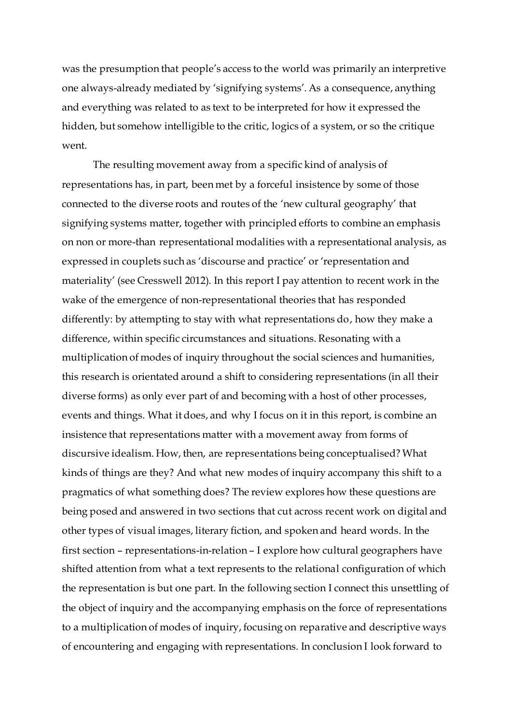was the presumption that people's access to the world was primarily an interpretive one always-already mediated by 'signifying systems'. As a consequence, anything and everything was related to as text to be interpreted for how it expressed the hidden, but somehow intelligible to the critic, logics of a system, or so the critique went.

The resulting movement away from a specific kind of analysis of representations has, in part, been met by a forceful insistence by some of those connected to the diverse roots and routes of the 'new cultural geography' that signifying systems matter, together with principled efforts to combine an emphasis on non or more-than representational modalities with a representational analysis, as expressed in couplets such as 'discourse and practice' or 'representation and materiality' (see Cresswell 2012). In this report I pay attention to recent work in the wake of the emergence of non-representational theories that has responded differently: by attempting to stay with what representations do, how they make a difference, within specific circumstances and situations. Resonating with a multiplication of modes of inquiry throughout the social sciences and humanities, this research is orientated around a shift to considering representations (in all their diverse forms) as only ever part of and becoming with a host of other processes, events and things. What it does, and why I focus on it in this report, is combine an insistence that representations matter with a movement away from forms of discursive idealism. How, then, are representations being conceptualised? What kinds of things are they? And what new modes of inquiry accompany this shift to a pragmatics of what something does? The review explores how these questions are being posed and answered in two sections that cut across recent work on digital and other types of visual images, literary fiction, and spoken and heard words. In the first section – representations-in-relation – I explore how cultural geographers have shifted attention from what a text represents to the relational configuration of which the representation is but one part. In the following section I connect this unsettling of the object of inquiry and the accompanying emphasis on the force of representations to a multiplication of modes of inquiry, focusing on reparative and descriptive ways of encountering and engaging with representations. In conclusion I look forward to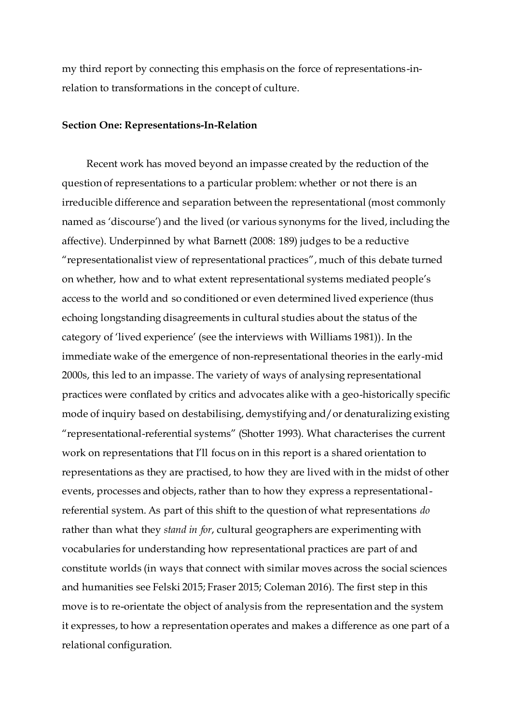my third report by connecting this emphasis on the force of representations-inrelation to transformations in the concept of culture.

#### **Section One: Representations-In-Relation**

Recent work has moved beyond an impasse created by the reduction of the question of representations to a particular problem: whether or not there is an irreducible difference and separation between the representational (most commonly named as 'discourse') and the lived (or various synonyms for the lived, including the affective). Underpinned by what Barnett (2008: 189) judges to be a reductive "representationalist view of representational practices", much of this debate turned on whether, how and to what extent representational systems mediated people's access to the world and so conditioned or even determined lived experience (thus echoing longstanding disagreements in cultural studies about the status of the category of 'lived experience' (see the interviews with Williams 1981)). In the immediate wake of the emergence of non-representational theories in the early-mid 2000s, this led to an impasse. The variety of ways of analysing representational practices were conflated by critics and advocates alike with a geo-historically specific mode of inquiry based on destabilising, demystifying and/or denaturalizing existing "representational-referential systems" (Shotter 1993). What characterises the current work on representations that I'll focus on in this report is a shared orientation to representations as they are practised, to how they are lived with in the midst of other events, processes and objects, rather than to how they express a representationalreferential system. As part of this shift to the question of what representations *do* rather than what they *stand in for*, cultural geographers are experimenting with vocabularies for understanding how representational practices are part of and constitute worlds (in ways that connect with similar moves across the social sciences and humanities see Felski 2015; Fraser 2015; Coleman 2016). The first step in this move is to re-orientate the object of analysis from the representation and the system it expresses, to how a representation operates and makes a difference as one part of a relational configuration.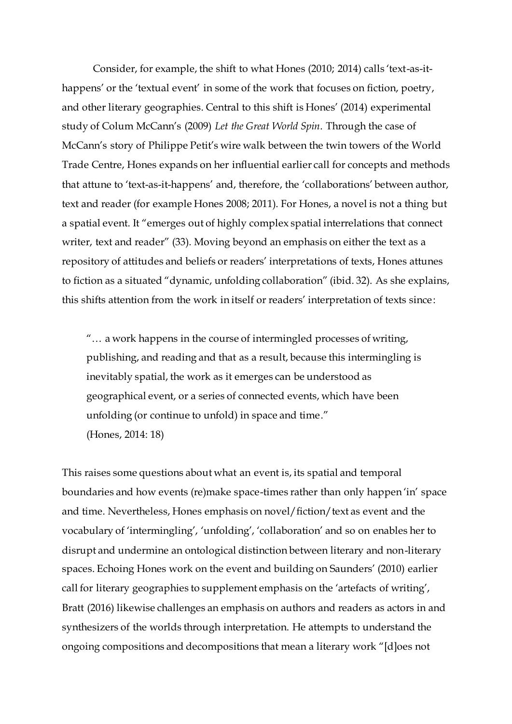Consider, for example, the shift to what Hones (2010; 2014) calls 'text-as-ithappens' or the 'textual event' in some of the work that focuses on fiction, poetry, and other literary geographies. Central to this shift is Hones' (2014) experimental study of Colum McCann's (2009) *Let the Great World Spin*. Through the case of McCann's story of Philippe Petit's wire walk between the twin towers of the World Trade Centre, Hones expands on her influential earlier call for concepts and methods that attune to 'text-as-it-happens' and, therefore, the 'collaborations' between author, text and reader (for example Hones 2008; 2011). For Hones, a novel is not a thing but a spatial event. It "emerges out of highly complex spatial interrelations that connect writer, text and reader" (33). Moving beyond an emphasis on either the text as a repository of attitudes and beliefs or readers' interpretations of texts, Hones attunes to fiction as a situated "dynamic, unfolding collaboration" (ibid. 32). As she explains, this shifts attention from the work in itself or readers' interpretation of texts since:

"… a work happens in the course of intermingled processes of writing, publishing, and reading and that as a result, because this intermingling is inevitably spatial, the work as it emerges can be understood as geographical event, or a series of connected events, which have been unfolding (or continue to unfold) in space and time." (Hones, 2014: 18)

This raises some questions about what an event is, its spatial and temporal boundaries and how events (re)make space-times rather than only happen 'in' space and time. Nevertheless, Hones emphasis on novel/fiction/text as event and the vocabulary of 'intermingling', 'unfolding', 'collaboration' and so on enables her to disrupt and undermine an ontological distinction between literary and non-literary spaces. Echoing Hones work on the event and building on Saunders' (2010) earlier call for literary geographies to supplement emphasis on the 'artefacts of writing', Bratt (2016) likewise challenges an emphasis on authors and readers as actors in and synthesizers of the worlds through interpretation. He attempts to understand the ongoing compositions and decompositions that mean a literary work "[d]oes not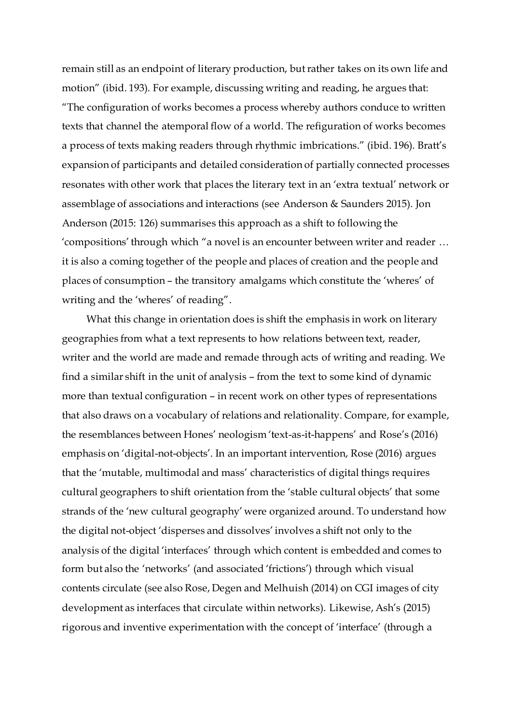remain still as an endpoint of literary production, but rather takes on its own life and motion" (ibid. 193). For example, discussing writing and reading, he argues that: "The configuration of works becomes a process whereby authors conduce to written texts that channel the atemporal flow of a world. The refiguration of works becomes a process of texts making readers through rhythmic imbrications." (ibid. 196). Bratt's expansion of participants and detailed consideration of partially connected processes resonates with other work that places the literary text in an 'extra textual' network or assemblage of associations and interactions (see Anderson & Saunders 2015). Jon Anderson (2015: 126) summarises this approach as a shift to following the 'compositions' through which "a novel is an encounter between writer and reader … it is also a coming together of the people and places of creation and the people and places of consumption – the transitory amalgams which constitute the 'wheres' of writing and the 'wheres' of reading".

What this change in orientation does is shift the emphasis in work on literary geographies from what a text represents to how relations between text, reader, writer and the world are made and remade through acts of writing and reading. We find a similar shift in the unit of analysis – from the text to some kind of dynamic more than textual configuration – in recent work on other types of representations that also draws on a vocabulary of relations and relationality. Compare, for example, the resemblances between Hones' neologism 'text-as-it-happens' and Rose's (2016) emphasis on 'digital-not-objects'. In an important intervention, Rose (2016) argues that the 'mutable, multimodal and mass' characteristics of digital things requires cultural geographers to shift orientation from the 'stable cultural objects' that some strands of the 'new cultural geography' were organized around. To understand how the digital not-object 'disperses and dissolves' involves a shift not only to the analysis of the digital 'interfaces' through which content is embedded and comes to form but also the 'networks' (and associated 'frictions') through which visual contents circulate (see also Rose, Degen and Melhuish (2014) on CGI images of city development as interfaces that circulate within networks). Likewise, Ash's (2015) rigorous and inventive experimentation with the concept of 'interface' (through a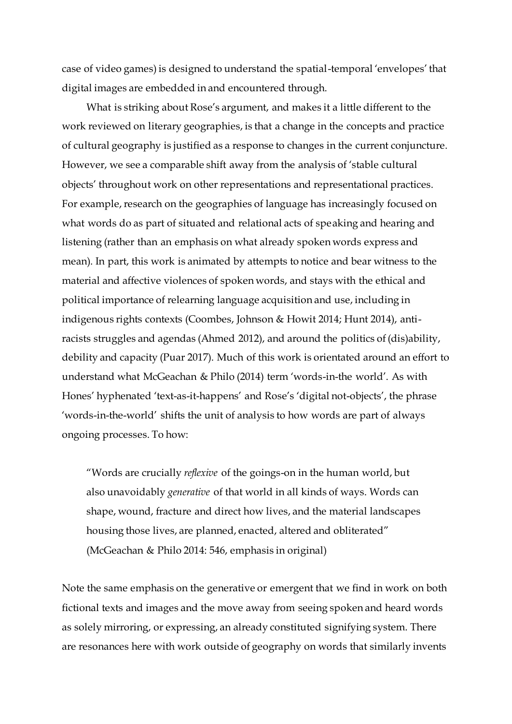case of video games) is designed to understand the spatial-temporal 'envelopes' that digital images are embedded in and encountered through.

What is striking about Rose's argument, and makes it a little different to the work reviewed on literary geographies, is that a change in the concepts and practice of cultural geography is justified as a response to changes in the current conjuncture. However, we see a comparable shift away from the analysis of 'stable cultural objects' throughout work on other representations and representational practices. For example, research on the geographies of language has increasingly focused on what words do as part of situated and relational acts of speaking and hearing and listening (rather than an emphasis on what already spoken words express and mean). In part, this work is animated by attempts to notice and bear witness to the material and affective violences of spoken words, and stays with the ethical and political importance of relearning language acquisition and use, including in indigenous rights contexts (Coombes, Johnson & Howit 2014; Hunt 2014), antiracists struggles and agendas (Ahmed 2012), and around the politics of (dis)ability, debility and capacity (Puar 2017). Much of this work is orientated around an effort to understand what McGeachan & Philo (2014) term 'words-in-the world'. As with Hones' hyphenated 'text-as-it-happens' and Rose's 'digital not-objects', the phrase 'words-in-the-world' shifts the unit of analysis to how words are part of always ongoing processes. To how:

"Words are crucially *reflexive* of the goings-on in the human world, but also unavoidably *generative* of that world in all kinds of ways. Words can shape, wound, fracture and direct how lives, and the material landscapes housing those lives, are planned, enacted, altered and obliterated" (McGeachan & Philo 2014: 546, emphasis in original)

Note the same emphasis on the generative or emergent that we find in work on both fictional texts and images and the move away from seeing spoken and heard words as solely mirroring, or expressing, an already constituted signifying system. There are resonances here with work outside of geography on words that similarly invents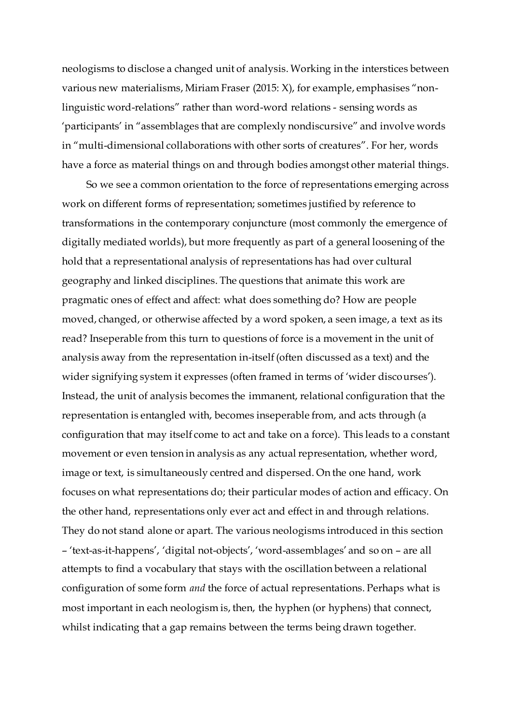neologisms to disclose a changed unit of analysis. Working in the interstices between various new materialisms, Miriam Fraser (2015: X), for example, emphasises "nonlinguistic word-relations" rather than word-word relations - sensing words as 'participants' in "assemblages that are complexly nondiscursive" and involve words in "multi-dimensional collaborations with other sorts of creatures". For her, words have a force as material things on and through bodies amongst other material things.

So we see a common orientation to the force of representations emerging across work on different forms of representation; sometimes justified by reference to transformations in the contemporary conjuncture (most commonly the emergence of digitally mediated worlds), but more frequently as part of a general loosening of the hold that a representational analysis of representations has had over cultural geography and linked disciplines. The questions that animate this work are pragmatic ones of effect and affect: what does something do? How are people moved, changed, or otherwise affected by a word spoken, a seen image, a text as its read? Inseperable from this turn to questions of force is a movement in the unit of analysis away from the representation in-itself (often discussed as a text) and the wider signifying system it expresses (often framed in terms of 'wider discourses'). Instead, the unit of analysis becomes the immanent, relational configuration that the representation is entangled with, becomes inseperable from, and acts through (a configuration that may itself come to act and take on a force). This leads to a constant movement or even tension in analysis as any actual representation, whether word, image or text, is simultaneously centred and dispersed. On the one hand, work focuses on what representations do; their particular modes of action and efficacy. On the other hand, representations only ever act and effect in and through relations. They do not stand alone or apart. The various neologisms introduced in this section – 'text-as-it-happens', 'digital not-objects', 'word-assemblages' and so on – are all attempts to find a vocabulary that stays with the oscillation between a relational configuration of some form *and* the force of actual representations. Perhaps what is most important in each neologism is, then, the hyphen (or hyphens) that connect, whilst indicating that a gap remains between the terms being drawn together.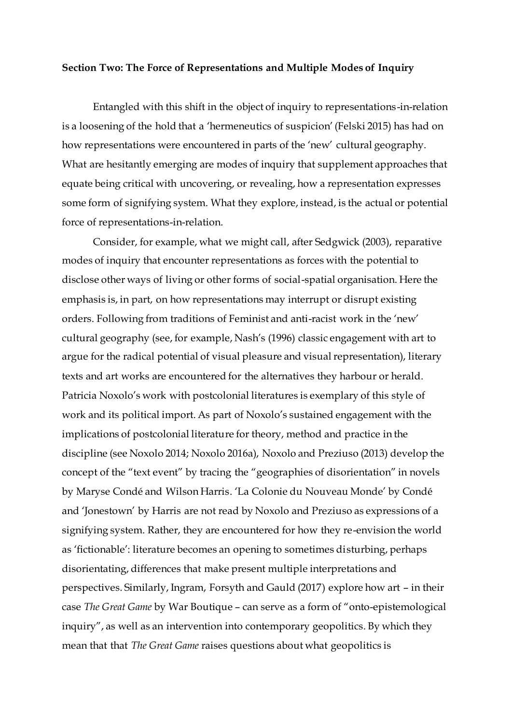#### **Section Two: The Force of Representations and Multiple Modes of Inquiry**

Entangled with this shift in the object of inquiry to representations-in-relation is a loosening of the hold that a 'hermeneutics of suspicion' (Felski 2015) has had on how representations were encountered in parts of the 'new' cultural geography. What are hesitantly emerging are modes of inquiry that supplement approaches that equate being critical with uncovering, or revealing, how a representation expresses some form of signifying system. What they explore, instead, is the actual or potential force of representations-in-relation.

Consider, for example, what we might call, after Sedgwick (2003), reparative modes of inquiry that encounter representations as forces with the potential to disclose other ways of living or other forms of social-spatial organisation. Here the emphasis is, in part, on how representations may interrupt or disrupt existing orders. Following from traditions of Feminist and anti-racist work in the 'new' cultural geography (see, for example, Nash's (1996) classic engagement with art to argue for the radical potential of visual pleasure and visual representation), literary texts and art works are encountered for the alternatives they harbour or herald. Patricia Noxolo's work with postcolonial literatures is exemplary of this style of work and its political import. As part of Noxolo's sustained engagement with the implications of postcolonial literature for theory, method and practice in the discipline (see Noxolo 2014; Noxolo 2016a), Noxolo and Preziuso (2013) develop the concept of the "text event" by tracing the "geographies of disorientation" in novels by Maryse Condé and Wilson Harris. 'La Colonie du Nouveau Monde' by Condé and 'Jonestown' by Harris are not read by Noxolo and Preziuso as expressions of a signifying system. Rather, they are encountered for how they re-envision the world as 'fictionable': literature becomes an opening to sometimes disturbing, perhaps disorientating, differences that make present multiple interpretations and perspectives. Similarly, Ingram, Forsyth and Gauld (2017) explore how art – in their case *The Great Game* by War Boutique – can serve as a form of "onto-epistemological inquiry", as well as an intervention into contemporary geopolitics. By which they mean that that *The Great Game* raises questions about what geopolitics is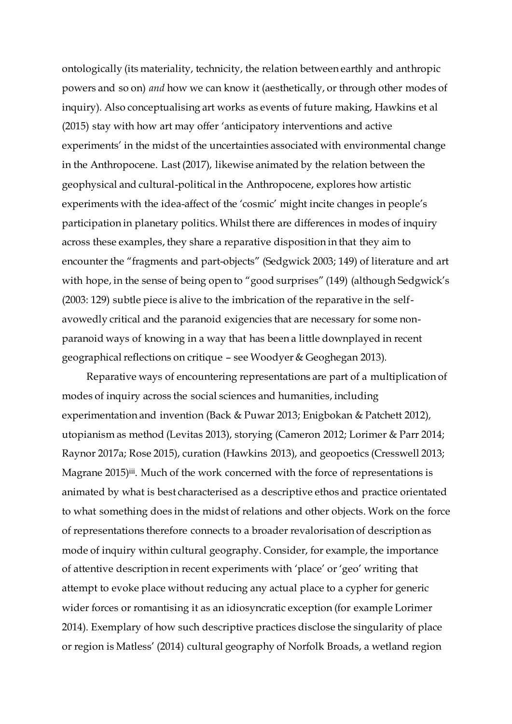ontologically (its materiality, technicity, the relation between earthly and anthropic powers and so on) *and* how we can know it (aesthetically, or through other modes of inquiry). Also conceptualising art works as events of future making, Hawkins et al (2015) stay with how art may offer 'anticipatory interventions and active experiments' in the midst of the uncertainties associated with environmental change in the Anthropocene. Last (2017), likewise animated by the relation between the geophysical and cultural-political in the Anthropocene, explores how artistic experiments with the idea-affect of the 'cosmic' might incite changes in people's participation in planetary politics. Whilst there are differences in modes of inquiry across these examples, they share a reparative disposition in that they aim to encounter the "fragments and part-objects" (Sedgwick 2003; 149) of literature and art with hope, in the sense of being open to "good surprises" (149) (although Sedgwick's (2003: 129) subtle piece is alive to the imbrication of the reparative in the selfavowedly critical and the paranoid exigencies that are necessary for some nonparanoid ways of knowing in a way that has been a little downplayed in recent geographical reflections on critique – see Woodyer & Geoghegan 2013).

Reparative ways of encountering representations are part of a multiplication of modes of inquiry across the social sciences and humanities, including experimentation and invention (Back & Puwar 2013; Enigbokan & Patchett 2012), utopianism as method (Levitas 2013), storying (Cameron 2012; Lorimer & Parr 2014; Raynor 2017a; Rose 2015), curation (Hawkins 2013), and geopoetics (Cresswell 2013; Magrane 2015)iii. Much of the work concerned with the force of representations is animated by what is best characterised as a descriptive ethos and practice orientated to what something does in the midst of relations and other objects. Work on the force of representations therefore connects to a broader revalorisation of description as mode of inquiry within cultural geography. Consider, for example, the importance of attentive description in recent experiments with 'place' or 'geo' writing that attempt to evoke place without reducing any actual place to a cypher for generic wider forces or romantising it as an idiosyncratic exception (for example Lorimer 2014). Exemplary of how such descriptive practices disclose the singularity of place or region is Matless' (2014) cultural geography of Norfolk Broads, a wetland region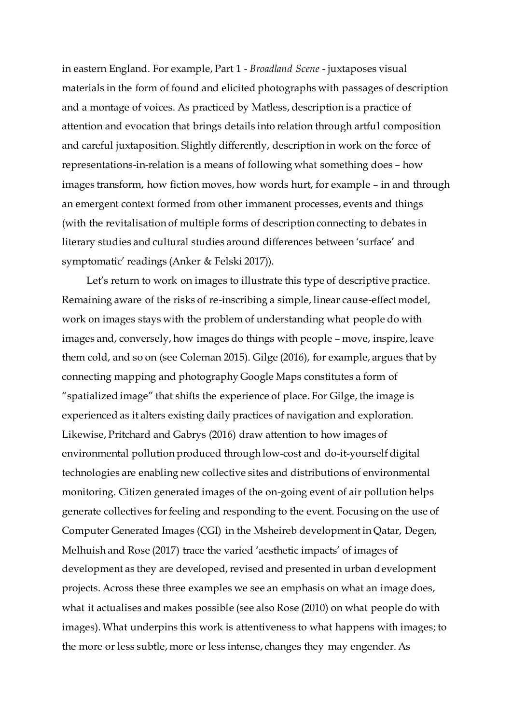in eastern England. For example, Part 1 - *Broadland Scene* - juxtaposes visual materials in the form of found and elicited photographs with passages of description and a montage of voices. As practiced by Matless, description is a practice of attention and evocation that brings details into relation through artful composition and careful juxtaposition. Slightly differently, description in work on the force of representations-in-relation is a means of following what something does – how images transform, how fiction moves, how words hurt, for example – in and through an emergent context formed from other immanent processes, events and things (with the revitalisation of multiple forms of description connecting to debates in literary studies and cultural studies around differences between 'surface' and symptomatic' readings (Anker & Felski 2017)).

Let's return to work on images to illustrate this type of descriptive practice. Remaining aware of the risks of re-inscribing a simple, linear cause-effect model, work on images stays with the problem of understanding what people do with images and, conversely, how images do things with people – move, inspire, leave them cold, and so on (see Coleman 2015). Gilge (2016), for example, argues that by connecting mapping and photography Google Maps constitutes a form of "spatialized image" that shifts the experience of place. For Gilge, the image is experienced as it alters existing daily practices of navigation and exploration. Likewise, Pritchard and Gabrys (2016) draw attention to how images of environmental pollution produced through low-cost and do-it-yourself digital technologies are enabling new collective sites and distributions of environmental monitoring. Citizen generated images of the on-going event of air pollution helps generate collectives for feeling and responding to the event. Focusing on the use of Computer Generated Images (CGI) in the Msheireb development in Qatar, Degen, Melhuish and Rose (2017) trace the varied 'aesthetic impacts' of images of development as they are developed, revised and presented in urban development projects. Across these three examples we see an emphasis on what an image does, what it actualises and makes possible (see also Rose (2010) on what people do with images). What underpins this work is attentiveness to what happens with images; to the more or less subtle, more or less intense, changes they may engender. As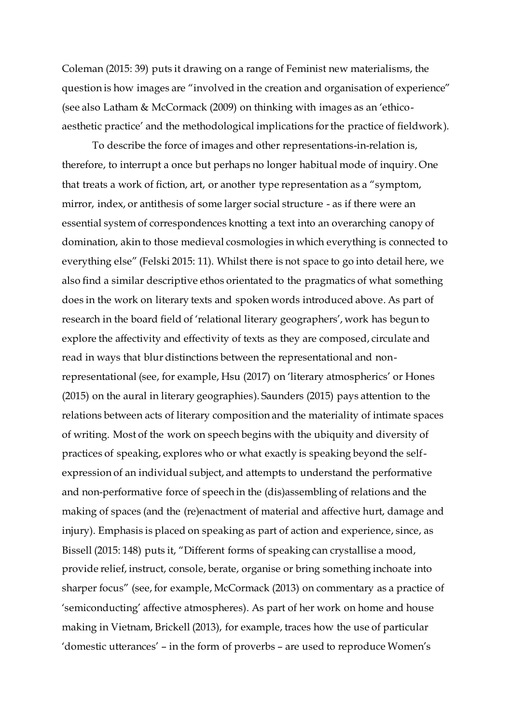Coleman (2015: 39) puts it drawing on a range of Feminist new materialisms, the question is how images are "involved in the creation and organisation of experience" (see also Latham & McCormack (2009) on thinking with images as an 'ethicoaesthetic practice' and the methodological implications for the practice of fieldwork).

To describe the force of images and other representations-in-relation is, therefore, to interrupt a once but perhaps no longer habitual mode of inquiry. One that treats a work of fiction, art, or another type representation as a "symptom, mirror, index, or antithesis of some larger social structure - as if there were an essential system of correspondences knotting a text into an overarching canopy of domination, akin to those medieval cosmologies in which everything is connected to everything else" (Felski 2015: 11). Whilst there is not space to go into detail here, we also find a similar descriptive ethos orientated to the pragmatics of what something does in the work on literary texts and spoken words introduced above. As part of research in the board field of 'relational literary geographers', work has begun to explore the affectivity and effectivity of texts as they are composed, circulate and read in ways that blur distinctions between the representational and nonrepresentational (see, for example, Hsu (2017) on 'literary atmospherics' or Hones (2015) on the aural in literary geographies). Saunders (2015) pays attention to the relations between acts of literary composition and the materiality of intimate spaces of writing. Most of the work on speech begins with the ubiquity and diversity of practices of speaking, explores who or what exactly is speaking beyond the selfexpression of an individual subject, and attempts to understand the performative and non-performative force of speech in the (dis)assembling of relations and the making of spaces (and the (re)enactment of material and affective hurt, damage and injury). Emphasis is placed on speaking as part of action and experience, since, as Bissell (2015: 148) puts it, "Different forms of speaking can crystallise a mood, provide relief, instruct, console, berate, organise or bring something inchoate into sharper focus" (see, for example, McCormack (2013) on commentary as a practice of 'semiconducting' affective atmospheres). As part of her work on home and house making in Vietnam, Brickell (2013), for example, traces how the use of particular 'domestic utterances' – in the form of proverbs – are used to reproduce Women's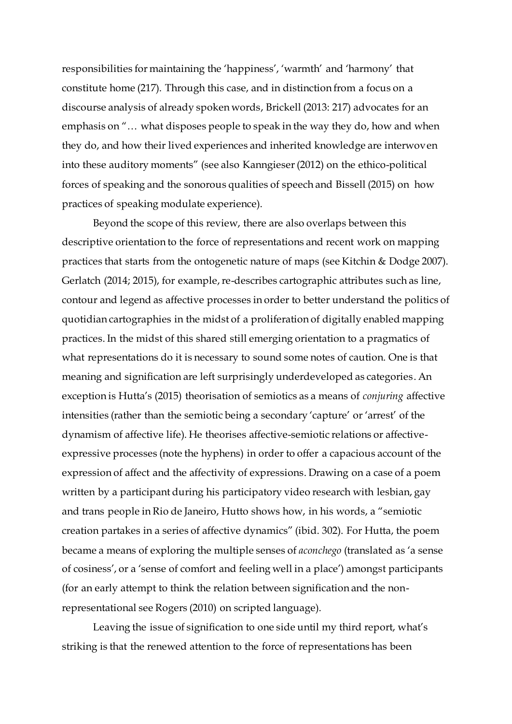responsibilities for maintaining the 'happiness', 'warmth' and 'harmony' that constitute home (217). Through this case, and in distinction from a focus on a discourse analysis of already spoken words, Brickell (2013: 217) advocates for an emphasis on "… what disposes people to speak in the way they do, how and when they do, and how their lived experiences and inherited knowledge are interwoven into these auditory moments" (see also Kanngieser (2012) on the ethico-political forces of speaking and the sonorous qualities of speech and Bissell (2015) on how practices of speaking modulate experience).

Beyond the scope of this review, there are also overlaps between this descriptive orientation to the force of representations and recent work on mapping practices that starts from the ontogenetic nature of maps (see Kitchin & Dodge 2007). Gerlatch (2014; 2015), for example, re-describes cartographic attributes such as line, contour and legend as affective processes in order to better understand the politics of quotidian cartographies in the midst of a proliferation of digitally enabled mapping practices. In the midst of this shared still emerging orientation to a pragmatics of what representations do it is necessary to sound some notes of caution. One is that meaning and signification are left surprisingly underdeveloped as categories. An exception is Hutta's (2015) theorisation of semiotics as a means of *conjuring* affective intensities (rather than the semiotic being a secondary 'capture' or 'arrest' of the dynamism of affective life). He theorises affective-semiotic relations or affectiveexpressive processes (note the hyphens) in order to offer a capacious account of the expression of affect and the affectivity of expressions. Drawing on a case of a poem written by a participant during his participatory video research with lesbian, gay and trans people in Rio de Janeiro, Hutto shows how, in his words, a "semiotic creation partakes in a series of affective dynamics" (ibid. 302). For Hutta, the poem became a means of exploring the multiple senses of *aconchego* (translated as 'a sense of cosiness', or a 'sense of comfort and feeling well in a place') amongst participants (for an early attempt to think the relation between signification and the nonrepresentational see Rogers (2010) on scripted language).

Leaving the issue of signification to one side until my third report, what's striking is that the renewed attention to the force of representations has been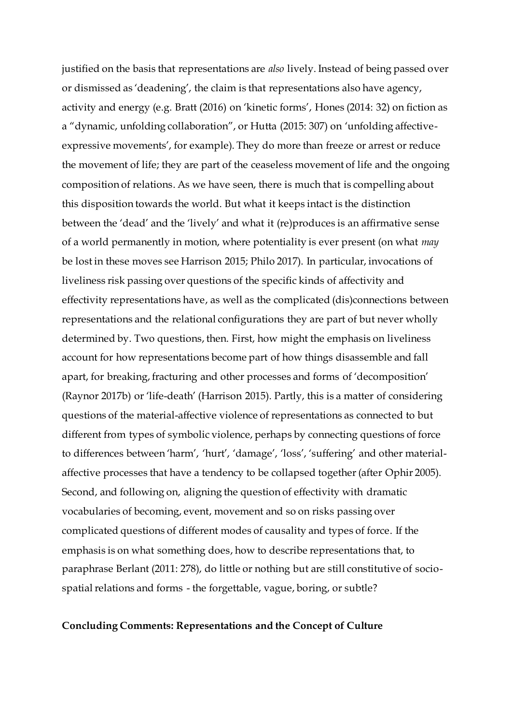justified on the basis that representations are *also* lively. Instead of being passed over or dismissed as 'deadening', the claim is that representations also have agency, activity and energy (e.g. Bratt (2016) on 'kinetic forms', Hones (2014: 32) on fiction as a "dynamic, unfolding collaboration", or Hutta (2015: 307) on 'unfolding affectiveexpressive movements', for example). They do more than freeze or arrest or reduce the movement of life; they are part of the ceaseless movement of life and the ongoing composition of relations. As we have seen, there is much that is compelling about this disposition towards the world. But what it keeps intact is the distinction between the 'dead' and the 'lively' and what it (re)produces is an affirmative sense of a world permanently in motion, where potentiality is ever present (on what *may*  be lost in these moves see Harrison 2015; Philo 2017). In particular, invocations of liveliness risk passing over questions of the specific kinds of affectivity and effectivity representations have, as well as the complicated (dis)connections between representations and the relational configurations they are part of but never wholly determined by. Two questions, then. First, how might the emphasis on liveliness account for how representations become part of how things disassemble and fall apart, for breaking, fracturing and other processes and forms of 'decomposition' (Raynor 2017b) or 'life-death' (Harrison 2015). Partly, this is a matter of considering questions of the material-affective violence of representations as connected to but different from types of symbolic violence, perhaps by connecting questions of force to differences between 'harm', 'hurt', 'damage', 'loss', 'suffering' and other materialaffective processes that have a tendency to be collapsed together(after Ophir 2005). Second, and following on, aligning the question of effectivity with dramatic vocabularies of becoming, event, movement and so on risks passing over complicated questions of different modes of causality and types of force. If the emphasis is on what something does, how to describe representations that, to paraphrase Berlant (2011: 278), do little or nothing but are still constitutive of sociospatial relations and forms - the forgettable, vague, boring, or subtle?

## **Concluding Comments: Representations and the Concept of Culture**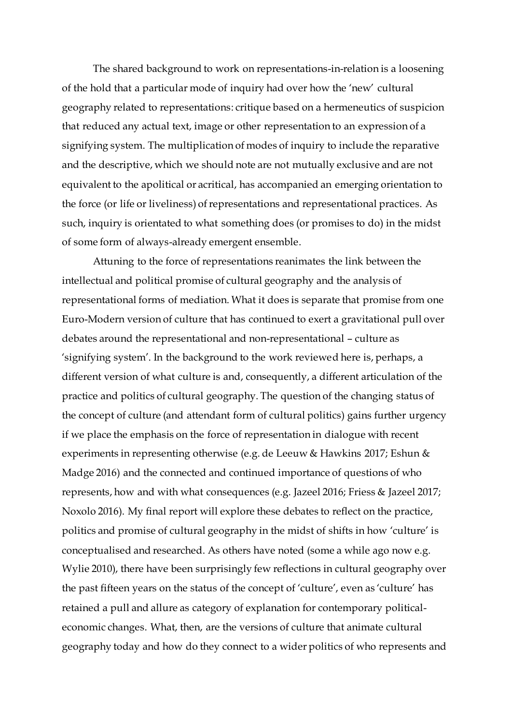The shared background to work on representations-in-relation is a loosening of the hold that a particular mode of inquiry had over how the 'new' cultural geography related to representations: critique based on a hermeneutics of suspicion that reduced any actual text, image or other representation to an expression of a signifying system. The multiplication of modes of inquiry to include the reparative and the descriptive, which we should note are not mutually exclusive and are not equivalent to the apolitical or acritical, has accompanied an emerging orientation to the force (or life or liveliness) of representations and representational practices. As such, inquiry is orientated to what something does (or promises to do) in the midst of some form of always-already emergent ensemble.

Attuning to the force of representations reanimates the link between the intellectual and political promise of cultural geography and the analysis of representational forms of mediation. What it does is separate that promise from one Euro-Modern version of culture that has continued to exert a gravitational pull over debates around the representational and non-representational – culture as 'signifying system'. In the background to the work reviewed here is, perhaps, a different version of what culture is and, consequently, a different articulation of the practice and politics of cultural geography. The question of the changing status of the concept of culture (and attendant form of cultural politics) gains further urgency if we place the emphasis on the force of representation in dialogue with recent experiments in representing otherwise (e.g. de Leeuw & Hawkins 2017; Eshun & Madge 2016) and the connected and continued importance of questions of who represents, how and with what consequences (e.g. Jazeel 2016; Friess & Jazeel 2017; Noxolo 2016). My final report will explore these debates to reflect on the practice, politics and promise of cultural geography in the midst of shifts in how 'culture' is conceptualised and researched. As others have noted (some a while ago now e.g. Wylie 2010), there have been surprisingly few reflections in cultural geography over the past fifteen years on the status of the concept of 'culture', even as 'culture' has retained a pull and allure as category of explanation for contemporary politicaleconomic changes. What, then, are the versions of culture that animate cultural geography today and how do they connect to a wider politics of who represents and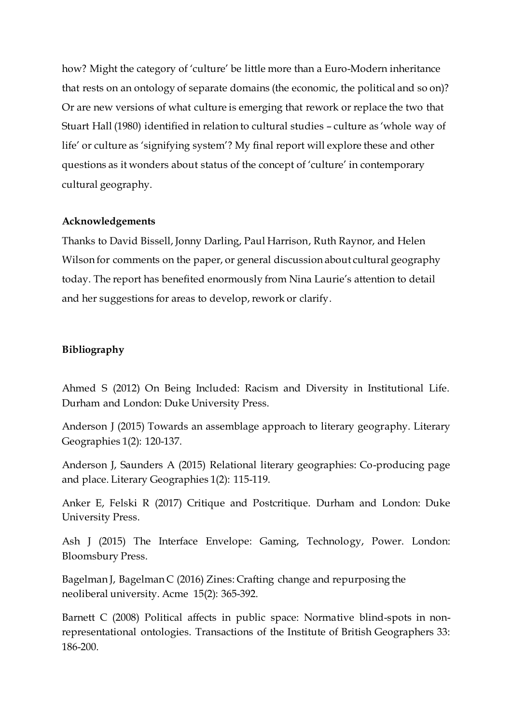how? Might the category of 'culture' be little more than a Euro-Modern inheritance that rests on an ontology of separate domains (the economic, the political and so on)? Or are new versions of what culture is emerging that rework or replace the two that Stuart Hall (1980) identified in relation to cultural studies – culture as 'whole way of life' or culture as 'signifying system'? My final report will explore these and other questions as it wonders about status of the concept of 'culture' in contemporary cultural geography.

## **Acknowledgements**

Thanks to David Bissell, Jonny Darling, Paul Harrison, Ruth Raynor, and Helen Wilson for comments on the paper, or general discussion about cultural geography today. The report has benefited enormously from Nina Laurie's attention to detail and her suggestions for areas to develop, rework or clarify.

## **Bibliography**

Ahmed S (2012) On Being Included: Racism and Diversity in Institutional Life. Durham and London: Duke University Press.

Anderson J (2015) Towards an assemblage approach to literary geography. Literary Geographies 1(2): 120-137.

Anderson J, Saunders A (2015) Relational literary geographies: Co-producing page and place. Literary Geographies 1(2): 115-119.

Anker E, Felski R (2017) Critique and Postcritique. Durham and London: Duke University Press.

Ash J (2015) The Interface Envelope: Gaming, Technology, Power. London: Bloomsbury Press.

Bagelman J, Bagelman C (2016) Zines: Crafting change and repurposing the neoliberal university. Acme 15(2): 365-392.

Barnett C (2008) Political affects in public space: Normative blind-spots in nonrepresentational ontologies. Transactions of the Institute of British Geographers 33: 186-200.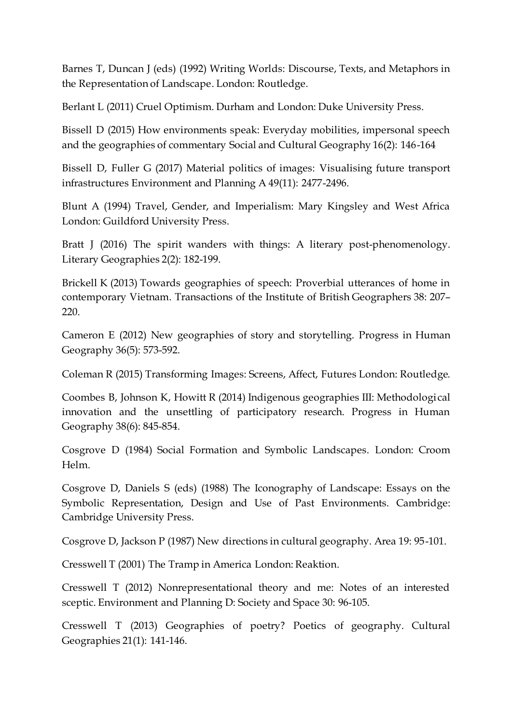Barnes T, Duncan J (eds) (1992) Writing Worlds: Discourse, Texts, and Metaphors in the Representation of Landscape. London: Routledge.

Berlant L (2011) Cruel Optimism. Durham and London: Duke University Press.

Bissell D (2015) How environments speak: Everyday mobilities, impersonal speech and the geographies of commentary Social and Cultural Geography 16(2): 146-164

Bissell D, Fuller G (2017) Material politics of images: Visualising future transport infrastructures Environment and Planning A 49(11): 2477-2496.

Blunt A (1994) Travel, Gender, and Imperialism: Mary Kingsley and West Africa London: Guildford University Press.

Bratt J (2016) The spirit wanders with things: A literary post-phenomenology. Literary Geographies 2(2): 182-199.

Brickell K (2013) Towards geographies of speech: Proverbial utterances of home in contemporary Vietnam. Transactions of the Institute of British Geographers 38: 207– 220.

Cameron E (2012) New geographies of story and storytelling. Progress in Human Geography 36(5): 573-592.

Coleman R (2015) Transforming Images: Screens, Affect, Futures London: Routledge.

Coombes B, Johnson K, Howitt R (2014) Indigenous geographies III: Methodological innovation and the unsettling of participatory research. Progress in Human Geography 38(6): 845-854.

Cosgrove D (1984) Social Formation and Symbolic Landscapes. London: Croom Helm.

Cosgrove D, Daniels S (eds) (1988) The Iconography of Landscape: Essays on the Symbolic Representation, Design and Use of Past Environments. Cambridge: Cambridge University Press.

Cosgrove D, Jackson P (1987) New directions in cultural geography. Area 19: 95-101.

Cresswell T (2001) The Tramp in America London: Reaktion.

Cresswell T (2012) Nonrepresentational theory and me: Notes of an interested sceptic. Environment and Planning D: Society and Space 30: 96-105.

Cresswell T (2013) Geographies of poetry? Poetics of geography. Cultural Geographies 21(1): 141-146.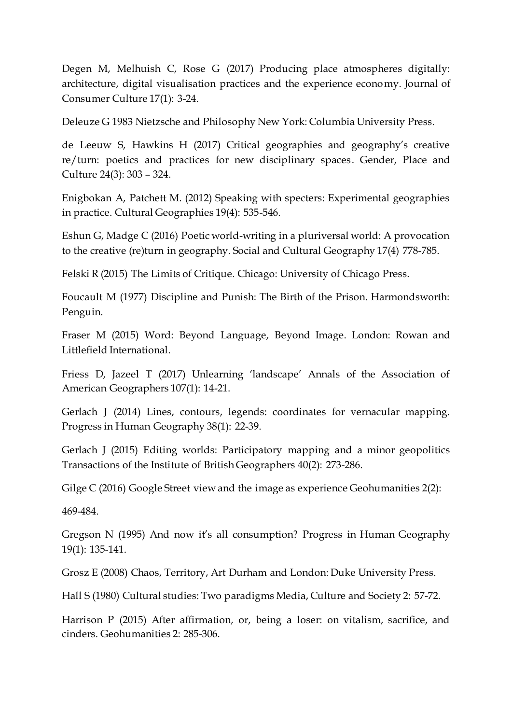Degen M, Melhuish C, Rose G (2017) Producing place atmospheres digitally: architecture, digital visualisation practices and the experience economy. Journal of Consumer Culture 17(1): 3-24.

Deleuze G 1983 Nietzsche and Philosophy New York: Columbia University Press.

de Leeuw S, Hawkins H (2017) Critical geographies and geography's creative re/turn: poetics and practices for new disciplinary spaces. Gender, Place and Culture 24(3): 303 – 324.

Enigbokan A, Patchett M. (2012) Speaking with specters: Experimental geographies in practice. Cultural Geographies 19(4): 535-546.

Eshun G, Madge C (2016) Poetic world-writing in a pluriversal world: A provocation to the creative (re)turn in geography. Social and Cultural Geography 17(4) 778-785.

Felski R (2015) The Limits of Critique. Chicago: University of Chicago Press.

Foucault M (1977) Discipline and Punish: The Birth of the Prison. Harmondsworth: Penguin.

Fraser M (2015) Word: Beyond Language, Beyond Image. London: Rowan and Littlefield International.

Friess D, Jazeel T (2017) Unlearning 'landscape' Annals of the Association of American Geographers 107(1): 14-21.

Gerlach J (2014) Lines, contours, legends: coordinates for vernacular mapping. Progress in Human Geography 38(1): 22-39.

Gerlach J (2015) Editing worlds: Participatory mapping and a minor geopolitics Transactions of the Institute of British Geographers 40(2): 273-286.

Gilge C (2016) Google Street view and the image as experience Geohumanities 2(2):

469-484.

Gregson N (1995) And now it's all consumption? Progress in Human Geography 19(1): 135-141.

Grosz E (2008) Chaos, Territory, Art Durham and London: Duke University Press.

Hall S (1980) Cultural studies: Two paradigms Media, Culture and Society 2: 57-72.

Harrison P (2015) After affirmation, or, being a loser: on vitalism, sacrifice, and cinders. Geohumanities 2: 285-306.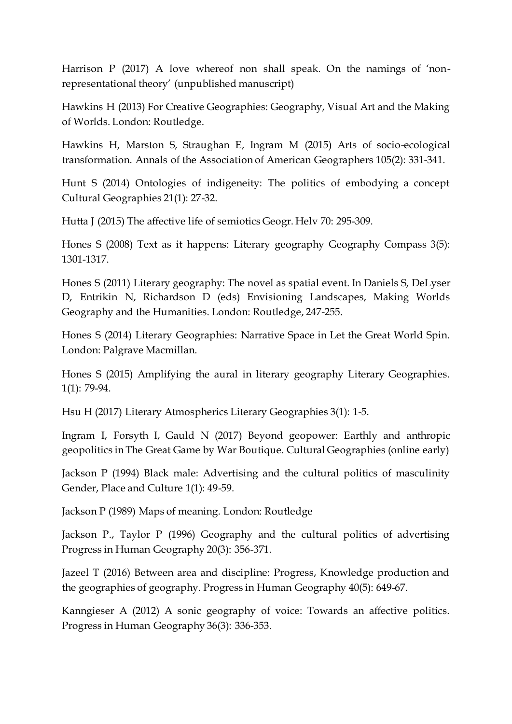Harrison P (2017) A love whereof non shall speak. On the namings of 'nonrepresentational theory' (unpublished manuscript)

Hawkins H (2013) For Creative Geographies: Geography, Visual Art and the Making of Worlds. London: Routledge.

Hawkins H, Marston S, Straughan E, Ingram M (2015) Arts of socio-ecological transformation. Annals of the Association of American Geographers 105(2): 331-341.

Hunt S (2014) Ontologies of indigeneity: The politics of embodying a concept Cultural Geographies 21(1): 27-32.

Hutta J (2015) The affective life of semiotics Geogr. Helv 70: 295-309.

Hones S (2008) Text as it happens: Literary geography Geography Compass 3(5): 1301-1317.

Hones S (2011) Literary geography: The novel as spatial event. In Daniels S, DeLyser D, Entrikin N, Richardson D (eds) Envisioning Landscapes, Making Worlds Geography and the Humanities. London: Routledge, 247-255.

Hones S (2014) Literary Geographies: Narrative Space in Let the Great World Spin. London: Palgrave Macmillan.

Hones S (2015) Amplifying the aural in literary geography Literary Geographies. 1(1): 79-94.

Hsu H (2017) Literary Atmospherics Literary Geographies 3(1): 1-5.

Ingram I, Forsyth I, Gauld N (2017) Beyond geopower: Earthly and anthropic geopolitics in The Great Game by War Boutique. Cultural Geographies (online early)

Jackson P (1994) Black male: Advertising and the cultural politics of masculinity Gender, Place and Culture 1(1): 49-59.

Jackson P (1989) Maps of meaning*.* London: Routledge

Jackson P., Taylor P (1996) Geography and the cultural politics of advertising Progress in Human Geography 20(3): 356-371.

Jazeel T (2016) Between area and discipline: Progress, Knowledge production and the geographies of geography. Progress in Human Geography 40(5): 649-67.

Kanngieser A (2012) A sonic geography of voice: Towards an affective politics. Progress in Human Geography 36(3): 336-353.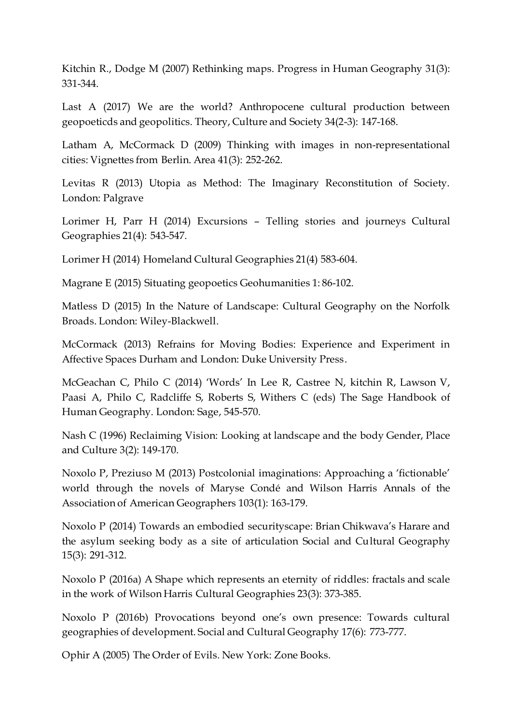Kitchin R., Dodge M (2007) Rethinking maps. Progress in Human Geography 31(3): 331-344.

Last A (2017) We are the world? Anthropocene cultural production between geopoeticds and geopolitics. Theory, Culture and Society 34(2-3): 147-168.

Latham A, McCormack D (2009) Thinking with images in non-representational cities: Vignettes from Berlin. Area 41(3): 252-262.

Levitas R (2013) Utopia as Method: The Imaginary Reconstitution of Society. London: Palgrave

Lorimer H, Parr H (2014) Excursions – Telling stories and journeys Cultural Geographies 21(4): 543-547.

Lorimer H (2014) Homeland Cultural Geographies 21(4) 583-604.

Magrane E (2015) Situating geopoetics Geohumanities 1: 86-102.

Matless D (2015) In the Nature of Landscape: Cultural Geography on the Norfolk Broads. London: Wiley-Blackwell.

McCormack (2013) Refrains for Moving Bodies: Experience and Experiment in Affective Spaces Durham and London: Duke University Press.

McGeachan C, Philo C (2014) 'Words' In Lee R, Castree N, kitchin R, Lawson V, Paasi A, Philo C, Radcliffe S, Roberts S, Withers C (eds) The Sage Handbook of Human Geography. London: Sage, 545-570.

Nash C (1996) Reclaiming Vision: Looking at landscape and the body Gender, Place and Culture 3(2): 149-170.

Noxolo P, Preziuso M (2013) Postcolonial imaginations: Approaching a 'fictionable' world through the novels of Maryse Condé and Wilson Harris Annals of the Association of American Geographers 103(1): 163-179.

Noxolo P (2014) Towards an embodied securityscape: Brian Chikwava's Harare and the asylum seeking body as a site of articulation Social and Cultural Geography 15(3): 291-312.

Noxolo P (2016a) A Shape which represents an eternity of riddles: fractals and scale in the work of Wilson Harris Cultural Geographies 23(3): 373-385.

Noxolo P (2016b) Provocations beyond one's own presence: Towards cultural geographies of development. Social and Cultural Geography 17(6): 773-777.

Ophir A (2005) The Order of Evils. New York: Zone Books.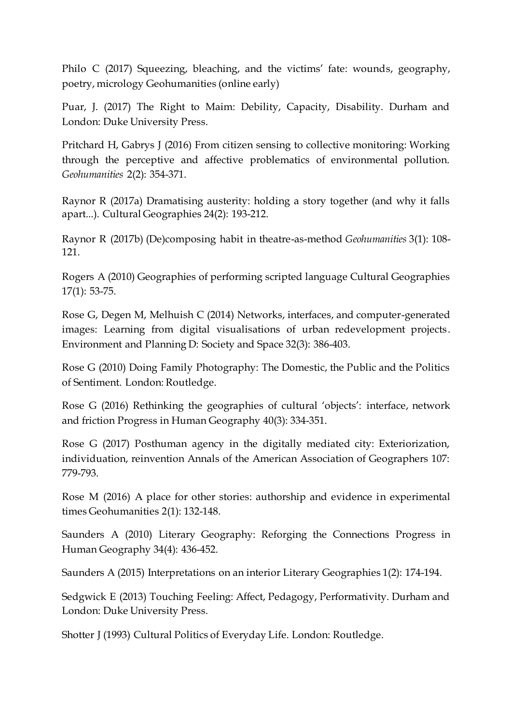Philo C (2017) Squeezing, bleaching, and the victims' fate: wounds, geography, poetry, micrology Geohumanities (online early)

Puar, J. (2017) The Right to Maim: Debility, Capacity, Disability. Durham and London: Duke University Press.

Pritchard H, Gabrys J (2016) From citizen sensing to collective monitoring: Working through the perceptive and affective problematics of environmental pollution. *Geohumanities* 2(2): 354-371.

Raynor R (2017a) [Dramatising austerity: holding a story together \(and why it falls](http://www.ncl.ac.uk/apl/staff/profile/ruthraynor.html#233192)  [apart...\).](http://www.ncl.ac.uk/apl/staff/profile/ruthraynor.html#233192) Cultural Geographies 24(2): 193-212.

Raynor R (2017b) [\(De\)composing habit in theatre-as-method](http://www.ncl.ac.uk/apl/staff/profile/ruthraynor.html#233194) *Geohumanities* 3(1): 108- 121.

Rogers A (2010) Geographies of performing scripted language Cultural Geographies 17(1): 53-75.

Rose G, Degen M, Melhuish C (2014) Networks, interfaces, and computer-generated images: Learning from digital visualisations of urban redevelopment projects . Environment and Planning D: Society and Space 32(3): 386-403.

Rose G (2010) Doing Family Photography: The Domestic, the Public and the Politics of Sentiment. London: Routledge.

Rose G (2016) Rethinking the geographies of cultural 'objects': interface, network and friction Progress in Human Geography 40(3): 334-351.

Rose G (2017) Posthuman agency in the digitally mediated city: Exteriorization, individuation, reinvention Annals of the American Association of Geographers 107: 779-793.

Rose M (2016) A place for other stories: authorship and evidence in experimental times Geohumanities 2(1): 132-148.

Saunders A (2010) Literary Geography: Reforging the Connections Progress in Human Geography 34(4): 436-452.

Saunders A (2015) Interpretations on an interior Literary Geographies 1(2): 174-194.

Sedgwick E (2013) Touching Feeling: Affect, Pedagogy, Performativity. Durham and London: Duke University Press.

Shotter J (1993) Cultural Politics of Everyday Life. London: Routledge.